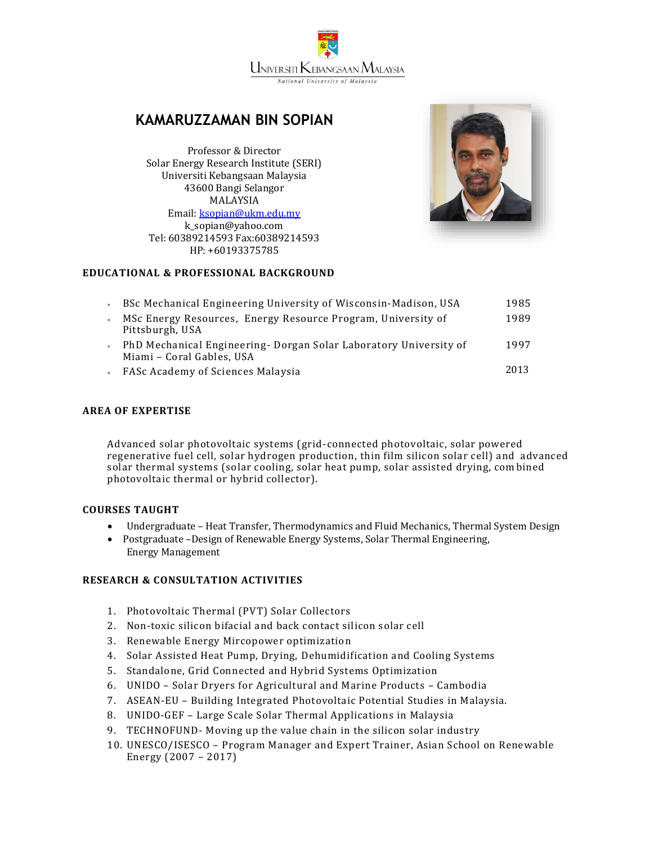UNIVERSITI KEBANGSAAN MALAYSIA **National University of Malaysia** 

# **KAMARUZZAMAN BIN SOPIAN**

Professor & Director Solar Energy Research Institute (SERI) Universiti Kebangsaan Malaysia 43600 Bangi Selangor MALAYSIA Email: [ksopian@ukm.edu.my](mailto:ksopian@ukm.edu.my) k\_sopian@yahoo.com Tel: 60389214593 Fax:60389214593 HP: +60193375785



# **EDUCATIONAL & PROFESSIONAL BACKGROUND**

| BSc Mechanical Engineering University of Wisconsin-Madison, USA                                | 1985 |
|------------------------------------------------------------------------------------------------|------|
| MSc Energy Resources, Energy Resource Program, University of<br>Pittsburgh, USA                | 1989 |
| PhD Mechanical Engineering- Dorgan Solar Laboratory University of<br>Miami - Coral Gables, USA | 1997 |
| FASc Academy of Sciences Malaysia                                                              | 2013 |

### **AREA OF EXPERTISE**

Advanced solar photovoltaic systems (grid-connected photovoltaic, solar powered regenerative fuel cell, solar hydrogen production, thin film silicon solar cell) and advanced solar thermal systems (solar cooling, solar heat pump, solar assisted drying, com bined photovoltaic thermal or hybrid collector).

#### **COURSES TAUGHT**

- Undergraduate Heat Transfer, Thermodynamics and Fluid Mechanics, Thermal System Design
- Postgraduate –Design of Renewable Energy Systems, Solar Thermal Engineering, Energy Management

## **RESEARCH & CONSULTATION ACTIVITIES**

- 1. Photovoltaic Thermal (PVT) Solar Collectors
- 2. Non-toxic silicon bifacial and back contact silicon solar cell
- 3. Renewable Energy Mircopower optimization
- 4. Solar Assisted Heat Pump, Drying, Dehumidification and Cooling Systems
- 5. Standalone, Grid Connected and Hybrid Systems Optimization
- 6. UNIDO Solar Dryers for Agricultural and Marine Products Cambodia
- 7. ASEAN-EU Building Integrated Photovoltaic Potential Studies in Malaysia.
- 8. UNIDO-GEF Large Scale Solar Thermal Applications in Malaysia
- 9. TECHNOFUND- Moving up the value chain in the silicon solar industry
- 10. UNESCO/ISESCO Program Manager and Expert Trainer, Asian School on Renewable Energy (2007 – 2017)